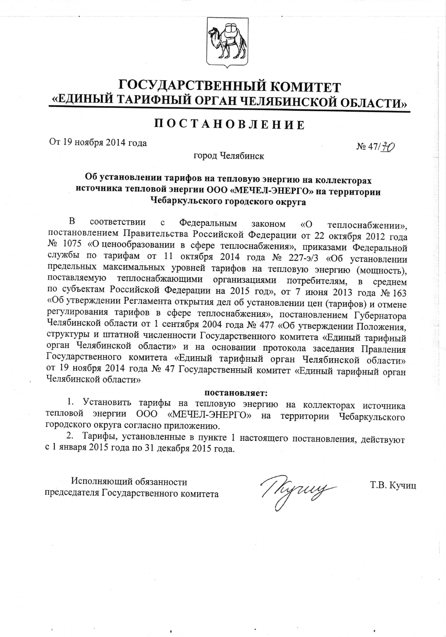

# ГОСУДАРСТВЕННЫЙ КОМИТЕТ «ЕДИНЫЙ ТАРИФНЫЙ ОРГАН ЧЕЛЯБИНСКОЙ ОБЛАСТИ»

# ПОСТАНОВЛЕНИЕ

От 19 ноября 2014 года

 $N_2$  47/ $7$ 

город Челябинск

## Об установлении тарифов на тепловую энергию на коллекторах источника тепловой энергии ООО «МЕЧЕЛ-ЭНЕРГО» на территории Чебаркульского городского округа

 $\overline{B}$ соответствии Федеральным  $\mathbf c$ законом «O теплоснабжении», постановлением Правительства Российской Федерации от 22 октября 2012 года № 1075 «О ценообразовании в сфере теплоснабжения», приказами Федеральной службы по тарифам от 11 октября 2014 года № 227-э/3 «Об установлении предельных максимальных уровней тарифов на тепловую энергию (мощность), поставляемую теплоснабжающими организациями потребителям, в среднем по субъектам Российской Федерации на 2015 год», от 7 июня 2013 года № 163 «Об утверждении Регламента открытия дел об установлении цен (тарифов) и отмене регулирования тарифов в сфере теплоснабжения», постановлением Губернатора Челябинской области от 1 сентября 2004 года № 477 «Об утверждении Положения, структуры и штатной численности Государственного комитета «Единый тарифный орган Челябинской области» и на основании протокола заседания Правления Государственного комитета «Единый тарифный орган Челябинской области» от 19 ноября 2014 года № 47 Государственный комитет «Единый тарифный орган Челябинской области»

#### постановляет:

1. Установить тарифы на тепловую энергию на коллекторах источника тепловой энергии ООО «МЕЧЕЛ-ЭНЕРГО» на территории Чебаркульского городского округа согласно приложению.

2. Тарифы, установленные в пункте 1 настоящего постановления, действуют с 1 января 2015 года по 31 декабря 2015 года.

Исполняющий обязанности председателя Государственного комитета

J hyuny

Т.В. Кучиц